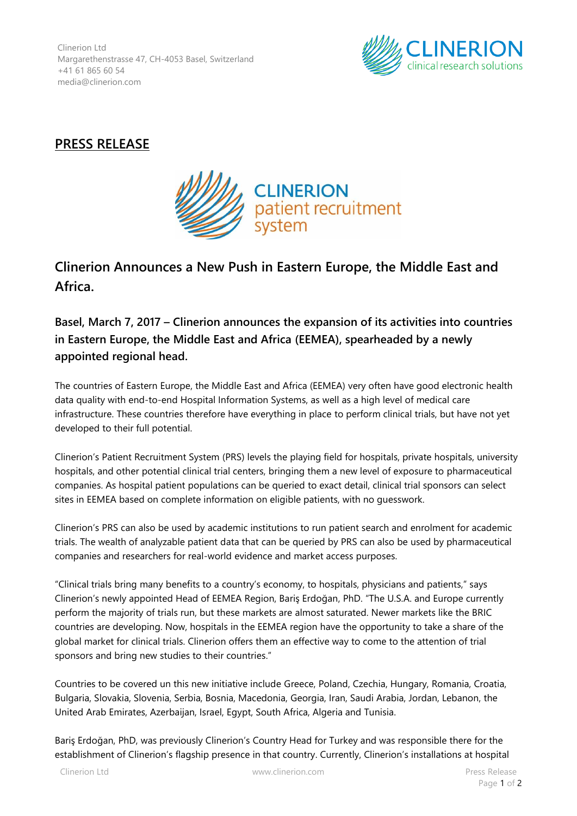Clinerion Ltd Margarethenstrasse 47, CH-4053 Basel, Switzerland +41 61 865 60 54 media@clinerion.com



## **PRESS RELEASE**



## **Clinerion Announces a New Push in Eastern Europe, the Middle East and Africa.**

## **Basel, March 7, 2017 – Clinerion announces the expansion of its activities into countries in Eastern Europe, the Middle East and Africa (EEMEA), spearheaded by a newly appointed regional head.**

The countries of Eastern Europe, the Middle East and Africa (EEMEA) very often have good electronic health data quality with end-to-end Hospital Information Systems, as well as a high level of medical care infrastructure. These countries therefore have everything in place to perform clinical trials, but have not yet developed to their full potential.

Clinerion's Patient Recruitment System (PRS) levels the playing field for hospitals, private hospitals, university hospitals, and other potential clinical trial centers, bringing them a new level of exposure to pharmaceutical companies. As hospital patient populations can be queried to exact detail, clinical trial sponsors can select sites in EEMEA based on complete information on eligible patients, with no guesswork.

Clinerion's PRS can also be used by academic institutions to run patient search and enrolment for academic trials. The wealth of analyzable patient data that can be queried by PRS can also be used by pharmaceutical companies and researchers for real-world evidence and market access purposes.

"Clinical trials bring many benefits to a country's economy, to hospitals, physicians and patients," says Clinerion's newly appointed Head of EEMEA Region, Bariş Erdoğan, PhD. "The U.S.A. and Europe currently perform the majority of trials run, but these markets are almost saturated. Newer markets like the BRIC countries are developing. Now, hospitals in the EEMEA region have the opportunity to take a share of the global market for clinical trials. Clinerion offers them an effective way to come to the attention of trial sponsors and bring new studies to their countries."

Countries to be covered un this new initiative include Greece, Poland, Czechia, Hungary, Romania, Croatia, Bulgaria, Slovakia, Slovenia, Serbia, Bosnia, Macedonia, Georgia, Iran, Saudi Arabia, Jordan, Lebanon, the United Arab Emirates, Azerbaijan, Israel, Egypt, South Africa, Algeria and Tunisia.

Bariş Erdoğan, PhD, was previously Clinerion's Country Head for Turkey and was responsible there for the establishment of Clinerion's flagship presence in that country. Currently, Clinerion's installations at hospital